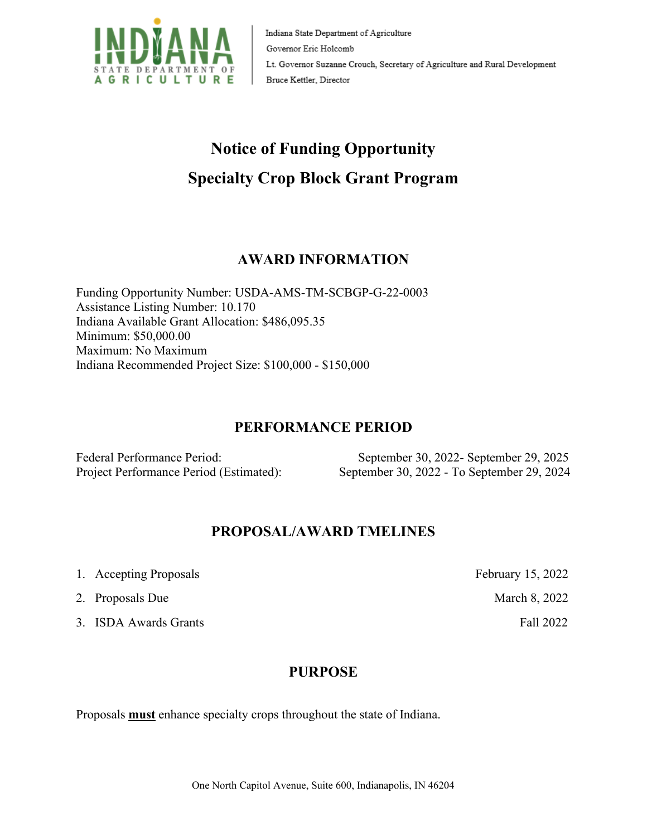

Indiana State Department of Agriculture Governor Eric Holcomb Lt. Governor Suzanne Crouch, Secretary of Agriculture and Rural Development Bruce Kettler, Director

# **Notice of Funding Opportunity Specialty Crop Block Grant Program**

# **AWARD INFORMATION**

Funding Opportunity Number: USDA-AMS-TM-SCBGP-G-22-0003 Assistance Listing Number: 10.170 Indiana Available Grant Allocation: \$486,095.35 Minimum: \$50,000.00 Maximum: No Maximum Indiana Recommended Project Size: \$100,000 - \$150,000

#### **PERFORMANCE PERIOD**

Federal Performance Period: September 30, 2022- September 29, 2025 Project Performance Period (Estimated): September 30, 2022 - To September 29, 2024

#### **PROPOSAL/AWARD TMELINES**

- 1. Accepting Proposals February 15, 2022
- 2. Proposals DueMarch 8, 2022
- 3. ISDA Awards Grants Fall 2022

#### **PURPOSE**

Proposals **must** enhance specialty crops throughout the state of Indiana.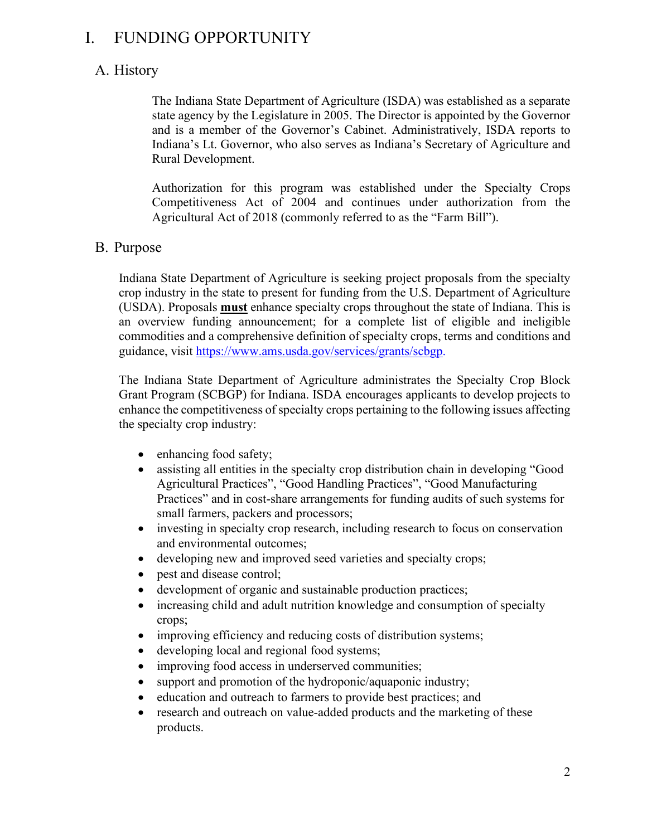# I. FUNDING OPPORTUNITY

# A. History

The Indiana State Department of Agriculture (ISDA) was established as a separate state agency by the Legislature in 2005. The Director is appointed by the Governor and is a member of the Governor's Cabinet. Administratively, ISDA reports to Indiana's Lt. Governor, who also serves as Indiana's Secretary of Agriculture and Rural Development.

Authorization for this program was established under the Specialty Crops Competitiveness Act of 2004 and continues under authorization from the Agricultural Act of 2018 (commonly referred to as the "Farm Bill").

#### B. Purpose

Indiana State Department of Agriculture is seeking project proposals from the specialty crop industry in the state to present for funding from the U.S. Department of Agriculture (USDA). Proposals **must** enhance specialty crops throughout the state of Indiana. This is an overview funding announcement; for a complete list of eligible and ineligible commodities and a comprehensive definition of specialty crops, terms and conditions and guidance, visit [https://www.ams.usda.gov/services/grants/scbgp.](https://www.ams.usda.gov/services/grants/scbgp)

The Indiana State Department of Agriculture administrates the Specialty Crop Block Grant Program (SCBGP) for Indiana. ISDA encourages applicants to develop projects to enhance the competitiveness of specialty crops pertaining to the following issues affecting the specialty crop industry:

- enhancing food safety;
- assisting all entities in the specialty crop distribution chain in developing "Good Agricultural Practices", "Good Handling Practices", "Good Manufacturing Practices" and in cost-share arrangements for funding audits of such systems for small farmers, packers and processors;
- investing in specialty crop research, including research to focus on conservation and environmental outcomes;
- developing new and improved seed varieties and specialty crops;
- pest and disease control;
- development of organic and sustainable production practices;
- increasing child and adult nutrition knowledge and consumption of specialty crops;
- improving efficiency and reducing costs of distribution systems;
- developing local and regional food systems;
- improving food access in underserved communities;
- support and promotion of the hydroponic/aquaponic industry;
- education and outreach to farmers to provide best practices; and
- research and outreach on value-added products and the marketing of these products.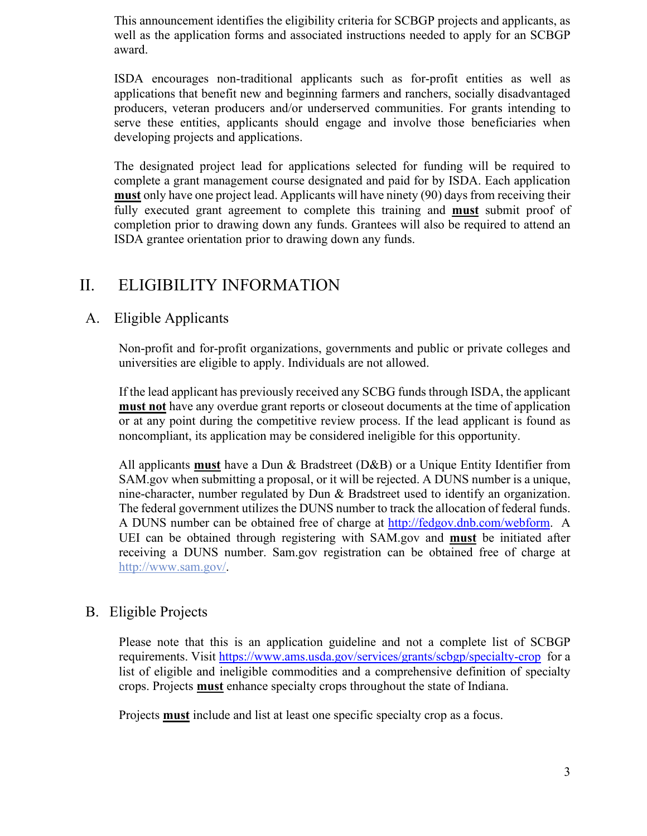This announcement identifies the eligibility criteria for SCBGP projects and applicants, as well as the application forms and associated instructions needed to apply for an SCBGP award.

ISDA encourages non-traditional applicants such as for-profit entities as well as applications that benefit new and beginning farmers and ranchers, socially disadvantaged producers, veteran producers and/or underserved communities. For grants intending to serve these entities, applicants should engage and involve those beneficiaries when developing projects and applications.

The designated project lead for applications selected for funding will be required to complete a grant management course designated and paid for by ISDA. Each application **must** only have one project lead. Applicants will have ninety (90) days from receiving their fully executed grant agreement to complete this training and **must** submit proof of completion prior to drawing down any funds. Grantees will also be required to attend an ISDA grantee orientation prior to drawing down any funds.

# II. ELIGIBILITY INFORMATION

## A. Eligible Applicants

Non-profit and for-profit organizations, governments and public or private colleges and universities are eligible to apply. Individuals are not allowed.

If the lead applicant has previously received any SCBG funds through ISDA, the applicant **must not** have any overdue grant reports or closeout documents at the time of application or at any point during the competitive review process. If the lead applicant is found as noncompliant, its application may be considered ineligible for this opportunity.

All applicants **must** have a Dun & Bradstreet (D&B) or a Unique Entity Identifier from SAM.gov when submitting a proposal, or it will be rejected. A DUNS number is a unique, nine-character, number regulated by Dun & Bradstreet used to identify an organization. The federal government utilizes the DUNS number to track the allocation of federal funds. A DUNS number can be obtained free of charge at [http://fedgov.dnb.com/webform.](http://fedgov.dnb.com/webform) A UEI can be obtained through registering with SAM.gov and **must** be initiated after receiving a DUNS number. Sam.gov registration can be obtained free of charge at [http://www.sam.gov/.](http://www.sam.gov/)

#### B. Eligible Projects

Please note that this is an application guideline and not a complete list of SCBGP requirements. Visit<https://www.ams.usda.gov/services/grants/scbgp/specialty-crop>for a list of eligible and ineligible commodities and a comprehensive definition of specialty crops. Projects **must** enhance specialty crops throughout the state of Indiana.

Projects **must** include and list at least one specific specialty crop as a focus.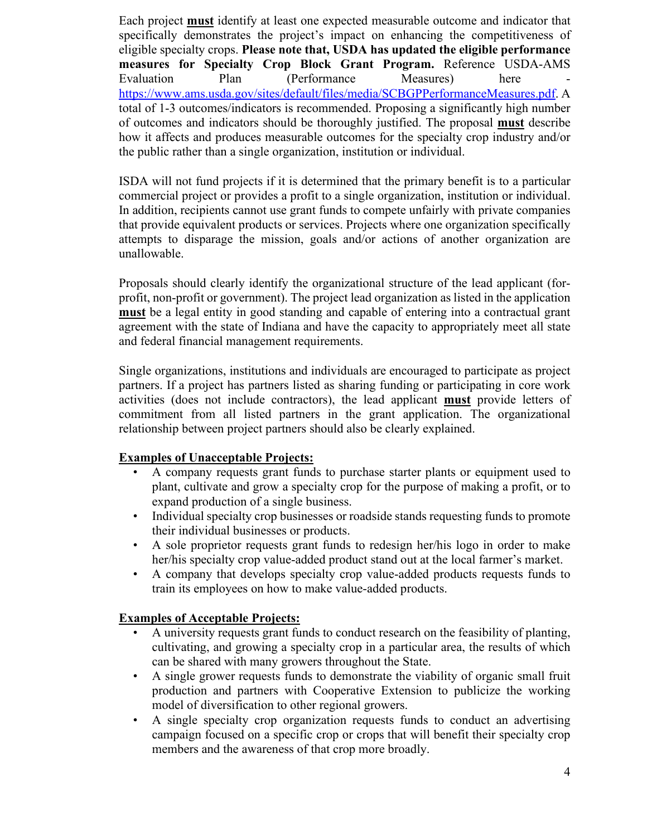Each project **must** identify at least one expected measurable outcome and indicator that specifically demonstrates the project's impact on enhancing the competitiveness of eligible specialty crops. **Please note that, USDA has updated the eligible performance measures for Specialty Crop Block Grant Program.** Reference USDA-AMS Evaluation Plan (Performance Measures) here [https://www.ams.usda.gov/sites/default/files/media/SCBGPPerformanceMeasures.pdf.](https://www.ams.usda.gov/sites/default/files/media/SCBGPPerformanceMeasures.pdf) A total of 1-3 outcomes/indicators is recommended. Proposing a significantly high number of outcomes and indicators should be thoroughly justified. The proposal **must** describe how it affects and produces measurable outcomes for the specialty crop industry and/or the public rather than a single organization, institution or individual.

ISDA will not fund projects if it is determined that the primary benefit is to a particular commercial project or provides a profit to a single organization, institution or individual. In addition, recipients cannot use grant funds to compete unfairly with private companies that provide equivalent products or services. Projects where one organization specifically attempts to disparage the mission, goals and/or actions of another organization are unallowable.

Proposals should clearly identify the organizational structure of the lead applicant (forprofit, non-profit or government). The project lead organization as listed in the application **must** be a legal entity in good standing and capable of entering into a contractual grant agreement with the state of Indiana and have the capacity to appropriately meet all state and federal financial management requirements.

Single organizations, institutions and individuals are encouraged to participate as project partners. If a project has partners listed as sharing funding or participating in core work activities (does not include contractors), the lead applicant **must** provide letters of commitment from all listed partners in the grant application. The organizational relationship between project partners should also be clearly explained.

#### **Examples of Unacceptable Projects:**

- A company requests grant funds to purchase starter plants or equipment used to plant, cultivate and grow a specialty crop for the purpose of making a profit, or to expand production of a single business.
- Individual specialty crop businesses or roadside stands requesting funds to promote their individual businesses or products.
- A sole proprietor requests grant funds to redesign her/his logo in order to make her/his specialty crop value-added product stand out at the local farmer's market.
- A company that develops specialty crop value-added products requests funds to train its employees on how to make value-added products.

#### **Examples of Acceptable Projects:**

- A university requests grant funds to conduct research on the feasibility of planting, cultivating, and growing a specialty crop in a particular area, the results of which can be shared with many growers throughout the State.
- A single grower requests funds to demonstrate the viability of organic small fruit production and partners with Cooperative Extension to publicize the working model of diversification to other regional growers.
- A single specialty crop organization requests funds to conduct an advertising campaign focused on a specific crop or crops that will benefit their specialty crop members and the awareness of that crop more broadly.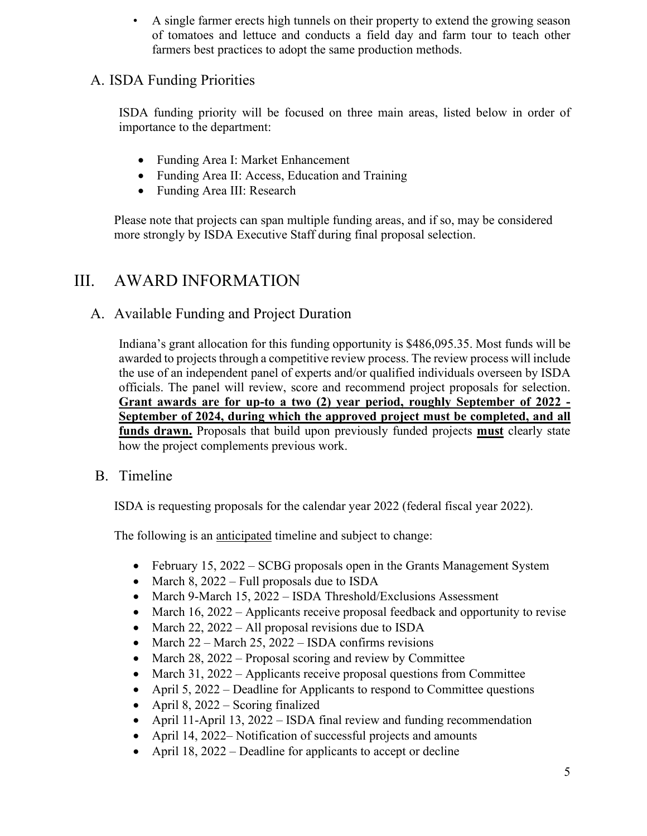• A single farmer erects high tunnels on their property to extend the growing season of tomatoes and lettuce and conducts a field day and farm tour to teach other farmers best practices to adopt the same production methods.

# A. ISDA Funding Priorities

ISDA funding priority will be focused on three main areas, listed below in order of importance to the department:

- Funding Area I: Market Enhancement
- Funding Area II: Access, Education and Training
- Funding Area III: Research

Please note that projects can span multiple funding areas, and if so, may be considered more strongly by ISDA Executive Staff during final proposal selection.

# III. AWARD INFORMATION

## A. Available Funding and Project Duration

Indiana's grant allocation for this funding opportunity is \$486,095.35. Most funds will be awarded to projects through a competitive review process. The review process will include the use of an independent panel of experts and/or qualified individuals overseen by ISDA officials. The panel will review, score and recommend project proposals for selection. **Grant awards are for up-to a two (2) year period, roughly September of 2022 - September of 2024, during which the approved project must be completed, and all funds drawn.** Proposals that build upon previously funded projects **must** clearly state how the project complements previous work.

#### B. Timeline

ISDA is requesting proposals for the calendar year 2022 (federal fiscal year 2022).

The following is an anticipated timeline and subject to change:

- February 15, 2022 SCBG proposals open in the Grants Management System
- March 8, 2022 Full proposals due to ISDA
- March 9-March 15, 2022 ISDA Threshold/Exclusions Assessment
- March 16, 2022 Applicants receive proposal feedback and opportunity to revise
- March 22, 2022 All proposal revisions due to ISDA
- March  $22 -$  March  $25$ ,  $2022 -$  ISDA confirms revisions
- March 28, 2022 Proposal scoring and review by Committee
- March 31, 2022 Applicants receive proposal questions from Committee
- April 5, 2022 Deadline for Applicants to respond to Committee questions
- April 8, 2022 Scoring finalized
- April 11-April 13, 2022 ISDA final review and funding recommendation
- April 14, 2022– Notification of successful projects and amounts
- April 18, 2022 Deadline for applicants to accept or decline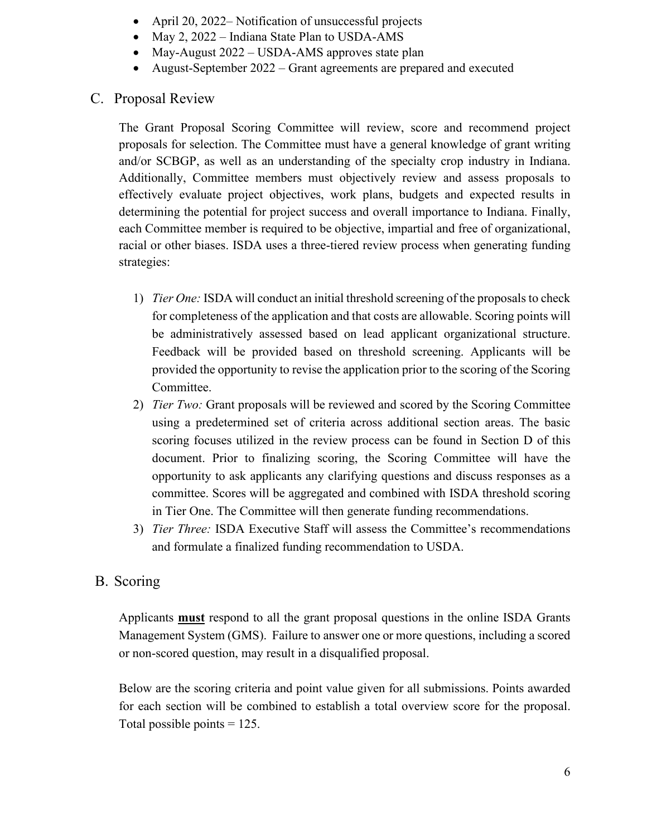- April 20, 2022– Notification of unsuccessful projects
- May 2, 2022 Indiana State Plan to USDA-AMS
- May-August 2022 USDA-AMS approves state plan
- August-September 2022 Grant agreements are prepared and executed

#### C. Proposal Review

The Grant Proposal Scoring Committee will review, score and recommend project proposals for selection. The Committee must have a general knowledge of grant writing and/or SCBGP, as well as an understanding of the specialty crop industry in Indiana. Additionally, Committee members must objectively review and assess proposals to effectively evaluate project objectives, work plans, budgets and expected results in determining the potential for project success and overall importance to Indiana. Finally, each Committee member is required to be objective, impartial and free of organizational, racial or other biases. ISDA uses a three-tiered review process when generating funding strategies:

- 1) *Tier One:* ISDA will conduct an initial threshold screening of the proposals to check for completeness of the application and that costs are allowable. Scoring points will be administratively assessed based on lead applicant organizational structure. Feedback will be provided based on threshold screening. Applicants will be provided the opportunity to revise the application prior to the scoring of the Scoring Committee.
- 2) *Tier Two:* Grant proposals will be reviewed and scored by the Scoring Committee using a predetermined set of criteria across additional section areas. The basic scoring focuses utilized in the review process can be found in Section D of this document. Prior to finalizing scoring, the Scoring Committee will have the opportunity to ask applicants any clarifying questions and discuss responses as a committee. Scores will be aggregated and combined with ISDA threshold scoring in Tier One. The Committee will then generate funding recommendations.
- 3) *Tier Three:* ISDA Executive Staff will assess the Committee's recommendations and formulate a finalized funding recommendation to USDA.

## B. Scoring

Applicants **must** respond to all the grant proposal questions in the online ISDA Grants Management System (GMS). Failure to answer one or more questions, including a scored or non-scored question, may result in a disqualified proposal.

Below are the scoring criteria and point value given for all submissions. Points awarded for each section will be combined to establish a total overview score for the proposal. Total possible points  $= 125$ .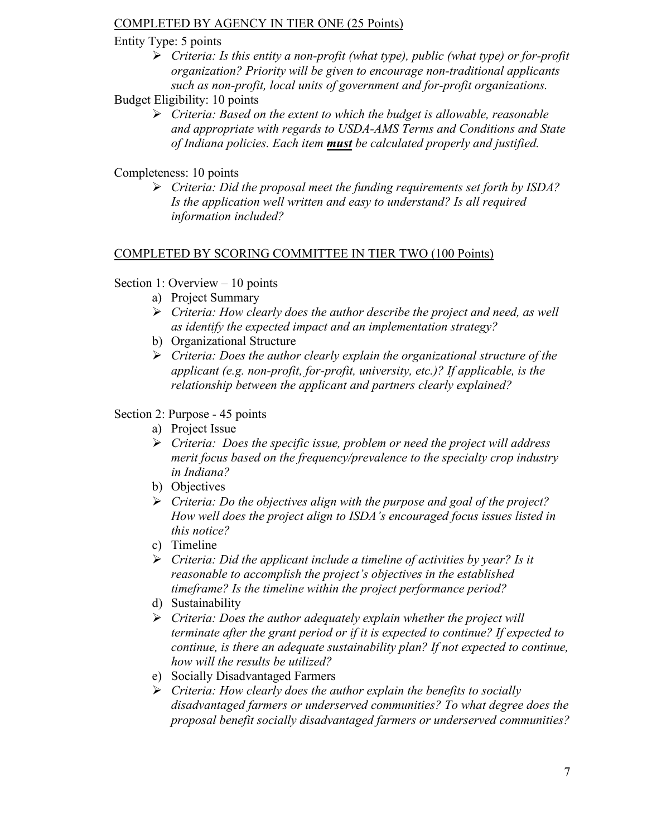#### COMPLETED BY AGENCY IN TIER ONE (25 Points)

#### Entity Type: 5 points

- *Criteria: Is this entity a non-profit (what type), public (what type) or for-profit organization? Priority will be given to encourage non-traditional applicants such as non-profit, local units of government and for-profit organizations.*
- Budget Eligibility: 10 points
	- *Criteria: Based on the extent to which the budget is allowable, reasonable and appropriate with regards to USDA-AMS Terms and Conditions and State of Indiana policies. Each item must be calculated properly and justified.*

#### Completeness: 10 points

 *Criteria: Did the proposal meet the funding requirements set forth by ISDA? Is the application well written and easy to understand? Is all required information included?*

#### COMPLETED BY SCORING COMMITTEE IN TIER TWO (100 Points)

#### Section 1: Overview – 10 points

- a) Project Summary
- *Criteria: How clearly does the author describe the project and need, as well as identify the expected impact and an implementation strategy?*
- b) Organizational Structure
- *Criteria: Does the author clearly explain the organizational structure of the applicant (e.g. non-profit, for-profit, university, etc.)? If applicable, is the relationship between the applicant and partners clearly explained?*

#### Section 2: Purpose - 45 points

- a) Project Issue
- *Criteria: Does the specific issue, problem or need the project will address merit focus based on the frequency/prevalence to the specialty crop industry in Indiana?*
- b) Objectives
- *Criteria: Do the objectives align with the purpose and goal of the project? How well does the project align to ISDA's encouraged focus issues listed in this notice?*
- c) Timeline
- *Criteria: Did the applicant include a timeline of activities by year? Is it reasonable to accomplish the project's objectives in the established timeframe? Is the timeline within the project performance period?*
- d) Sustainability
- *Criteria: Does the author adequately explain whether the project will terminate after the grant period or if it is expected to continue? If expected to continue, is there an adequate sustainability plan? If not expected to continue, how will the results be utilized?*
- e) Socially Disadvantaged Farmers
- *Criteria: How clearly does the author explain the benefits to socially disadvantaged farmers or underserved communities? To what degree does the proposal benefit socially disadvantaged farmers or underserved communities?*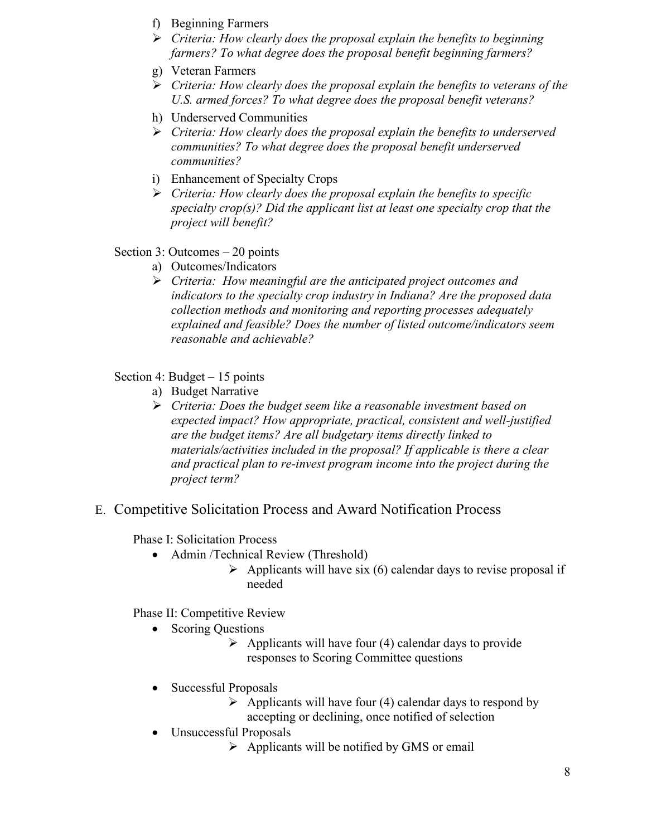- f) Beginning Farmers
- *Criteria: How clearly does the proposal explain the benefits to beginning farmers? To what degree does the proposal benefit beginning farmers?*
- g) Veteran Farmers
- *Criteria: How clearly does the proposal explain the benefits to veterans of the U.S. armed forces? To what degree does the proposal benefit veterans?*
- h) Underserved Communities
- *Criteria: How clearly does the proposal explain the benefits to underserved communities? To what degree does the proposal benefit underserved communities?*
- i) Enhancement of Specialty Crops
- *Criteria: How clearly does the proposal explain the benefits to specific specialty crop(s)? Did the applicant list at least one specialty crop that the project will benefit?*

#### Section 3: Outcomes – 20 points

- a) Outcomes/Indicators
- *Criteria: How meaningful are the anticipated project outcomes and indicators to the specialty crop industry in Indiana? Are the proposed data collection methods and monitoring and reporting processes adequately explained and feasible? Does the number of listed outcome/indicators seem reasonable and achievable?*

Section 4: Budget – 15 points

- a) Budget Narrative
- *Criteria: Does the budget seem like a reasonable investment based on expected impact? How appropriate, practical, consistent and well-justified are the budget items? Are all budgetary items directly linked to materials/activities included in the proposal? If applicable is there a clear and practical plan to re-invest program income into the project during the project term?*
- E. Competitive Solicitation Process and Award Notification Process

Phase I: Solicitation Process

- Admin /Technical Review (Threshold)
	- $\triangleright$  Applicants will have six (6) calendar days to revise proposal if needed

Phase II: Competitive Review

- Scoring Questions
	- $\triangleright$  Applicants will have four (4) calendar days to provide responses to Scoring Committee questions
- Successful Proposals
	- $\triangleright$  Applicants will have four (4) calendar days to respond by accepting or declining, once notified of selection
- Unsuccessful Proposals
	- $\triangleright$  Applicants will be notified by GMS or email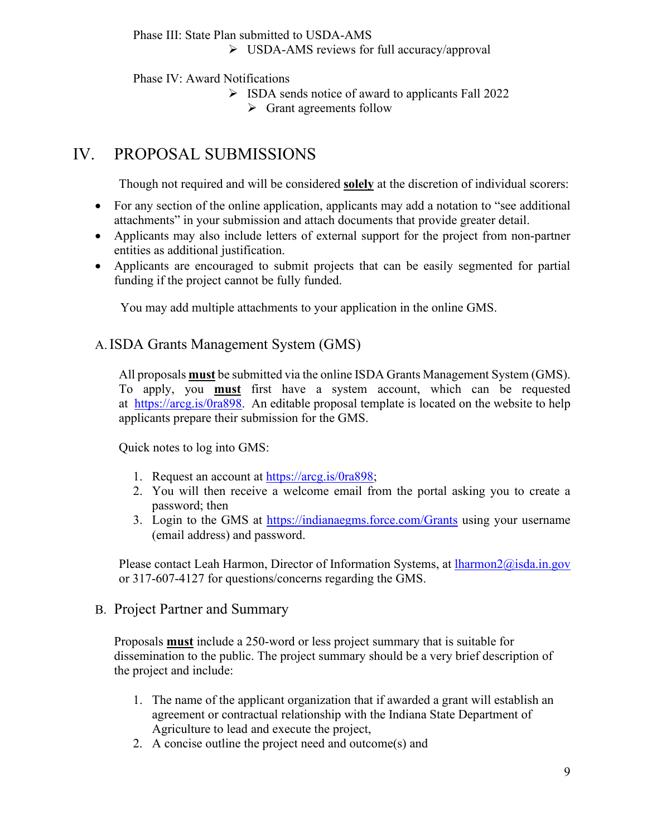Phase III: State Plan submitted to USDA-AMS USDA-AMS reviews for full accuracy/approval

Phase IV: Award Notifications

- $\triangleright$  ISDA sends notice of award to applicants Fall 2022
	- $\triangleright$  Grant agreements follow

# IV. PROPOSAL SUBMISSIONS

Though not required and will be considered **solely** at the discretion of individual scorers:

- For any section of the online application, applicants may add a notation to "see additional attachments" in your submission and attach documents that provide greater detail.
- Applicants may also include letters of external support for the project from non-partner entities as additional justification.
- Applicants are encouraged to submit projects that can be easily segmented for partial funding if the project cannot be fully funded.

You may add multiple attachments to your application in the online GMS.

#### A.ISDA Grants Management System (GMS)

All proposals **must** be submitted via the online ISDA Grants Management System (GMS). To apply, you **must** first have a system account, which can be requested at [https://arcg.is/0ra898.](https://arcg.is/0ra898) An editable proposal template is located on the website to help applicants prepare their submission for the GMS.

Quick notes to log into GMS:

- 1. Request an account at [https://arcg.is/0ra898;](https://arcg.is/0ra898)
- 2. You will then receive a welcome email from the portal asking you to create a password; then
- 3. Login to the GMS at<https://indianaegms.force.com/Grants> using your username (email address) and password.

Please contact Leah Harmon, Director of Information Systems, at [lharmon2@isda.in.gov](mailto:lharmon2@isda.in.gov) or 317-607-4127 for questions/concerns regarding the GMS.

#### B. Project Partner and Summary

Proposals **must** include a 250-word or less project summary that is suitable for dissemination to the public. The project summary should be a very brief description of the project and include:

- 1. The name of the applicant organization that if awarded a grant will establish an agreement or contractual relationship with the Indiana State Department of Agriculture to lead and execute the project,
- 2. A concise outline the project need and outcome(s) and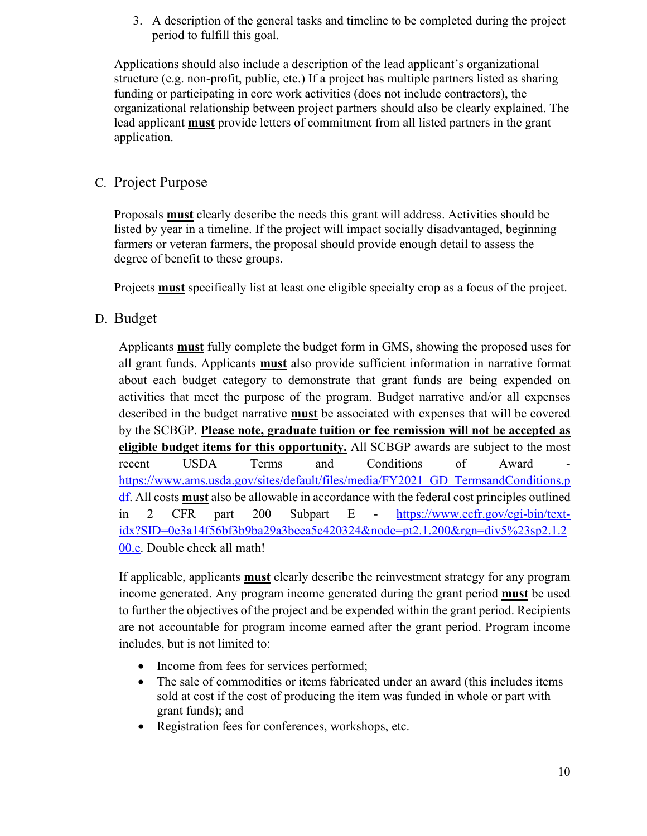3. A description of the general tasks and timeline to be completed during the project period to fulfill this goal.

Applications should also include a description of the lead applicant's organizational structure (e.g. non-profit, public, etc.) If a project has multiple partners listed as sharing funding or participating in core work activities (does not include contractors), the organizational relationship between project partners should also be clearly explained. The lead applicant **must** provide letters of commitment from all listed partners in the grant application.

## C. Project Purpose

Proposals **must** clearly describe the needs this grant will address. Activities should be listed by year in a timeline. If the project will impact socially disadvantaged, beginning farmers or veteran farmers, the proposal should provide enough detail to assess the degree of benefit to these groups.

Projects **must** specifically list at least one eligible specialty crop as a focus of the project.

## D. Budget

Applicants **must** fully complete the budget form in GMS, showing the proposed uses for all grant funds. Applicants **must** also provide sufficient information in narrative format about each budget category to demonstrate that grant funds are being expended on activities that meet the purpose of the program. Budget narrative and/or all expenses described in the budget narrative **must** be associated with expenses that will be covered by the SCBGP. **Please note, graduate tuition or fee remission will not be accepted as eligible budget items for this opportunity.** All SCBGP awards are subject to the most recent USDA Terms and Conditions of Award [https://www.ams.usda.gov/sites/default/files/media/FY2021\\_GD\\_TermsandConditions.p](https://www.ams.usda.gov/sites/default/files/media/FY2021_GD_TermsandConditions.pdf) [df.](https://www.ams.usda.gov/sites/default/files/media/FY2021_GD_TermsandConditions.pdf) All costs **must** also be allowable in accordance with the federal cost principles outlined in 2 CFR part 200 Subpart E - [https://www.ecfr.gov/cgi-bin/text](https://www.ecfr.gov/cgi-bin/text-idx?SID=0e3a14f56bf3b9ba29a3beea5c420324&node=pt2.1.200&rgn=div5%23sp2.1.200.e)[idx?SID=0e3a14f56bf3b9ba29a3beea5c420324&node=pt2.1.200&rgn=div5%23sp2.1.2](https://www.ecfr.gov/cgi-bin/text-idx?SID=0e3a14f56bf3b9ba29a3beea5c420324&node=pt2.1.200&rgn=div5%23sp2.1.200.e) [00.e.](https://www.ecfr.gov/cgi-bin/text-idx?SID=0e3a14f56bf3b9ba29a3beea5c420324&node=pt2.1.200&rgn=div5%23sp2.1.200.e) Double check all math!

If applicable, applicants **must** clearly describe the reinvestment strategy for any program income generated. Any program income generated during the grant period **must** be used to further the objectives of the project and be expended within the grant period. Recipients are not accountable for program income earned after the grant period. Program income includes, but is not limited to:

- Income from fees for services performed;
- The sale of commodities or items fabricated under an award (this includes items sold at cost if the cost of producing the item was funded in whole or part with grant funds); and
- Registration fees for conferences, workshops, etc.